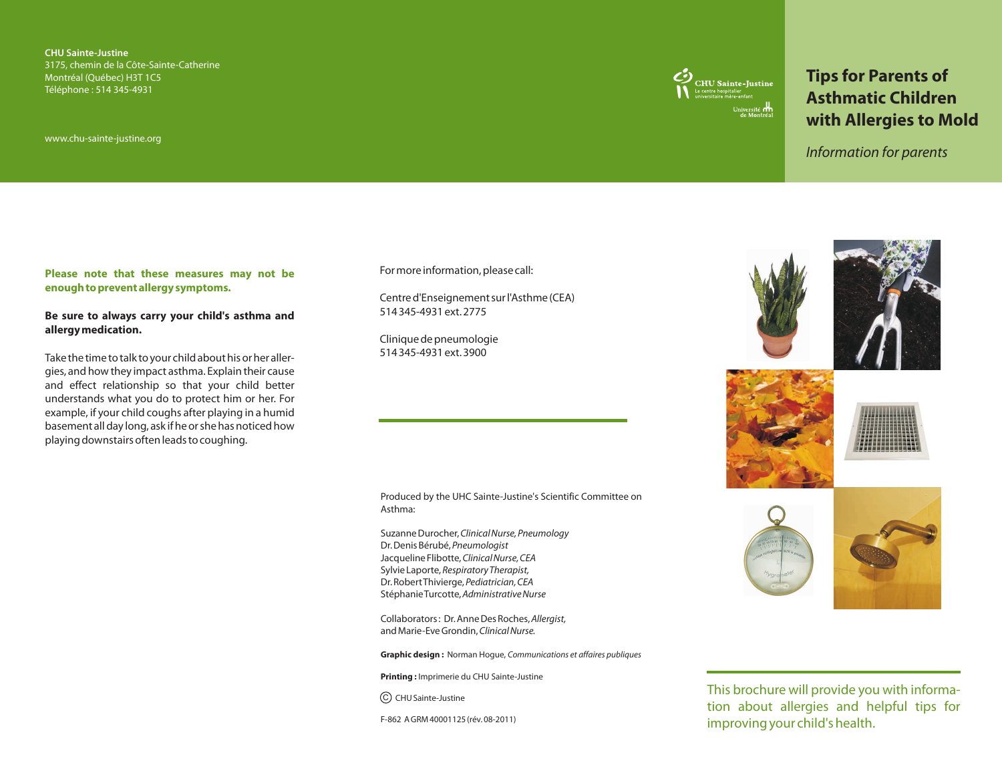**CHU Sainte-Justine** 3175, chemin de la Côte-Sainte-Catherine Montréal (Québec) H3T 1C5 Téléphone : 514 345-4931

www.chu-sainte-justine.org



# **Tips for Parents of Asthmatic Children with Allergies to Mold**

*Information for parents*

#### **Please note that these measures may not be enough to prevent allergy symptoms.**

#### **Be sure to always carry your child's asthma and allergy medication.**

Take the time to talk to your child about his or her allergies, and how they impact asthma. Explain their cause and effect relationship so that your child better understands what you do to protect him or her. For example, if your child coughs after playing in a humid basement all day long, ask if he or she has noticed how playing downstairs often leads to coughing.

#### For more information, please call:

Centre d'Enseignement sur l'Asthme (CEA) 514 345-4931 ext. 2775

Clinique de pneumologie 514 345-4931 ext. 3900

Produced by the UHC Sainte-Justine's Scientific Committee on Asthma:

Suzanne Durocher, *Clinical Nurse, Pneumology* Dr. Denis Bérubé, *Pneumologist*  Jacqueline Flibotte, *Clinical Nurse, CEA* Sylvie Laporte, *Respiratory Therapist,*  Dr. Robert Thivierge, *Pediatrician, CEA* Stéphanie Turcotte, *Administrative Nurse*

Collaborators : Dr. Anne Des Roches, *Allergist,*  and Marie-Eve Grondin, *Clinical Nurse.*

**Graphic design :** Norman Hogue, *Communications et affaires publiques*

**Printing :** Imprimerie du CHU Sainte-Justine

C) CHU Sainte-Justine

F-862 A GRM 40001125 (rév. 08-2011)









This brochure will provide you with information about allergies and helpful tips for improving your child's health.